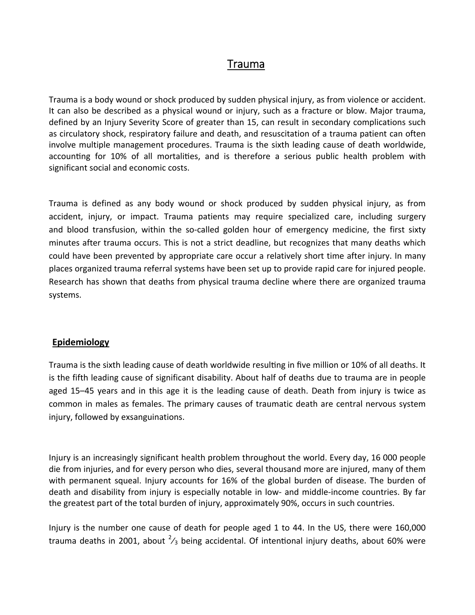# Trauma

Trauma is a body wound or shock produced by sudden physical [injury](http://en.wikipedia.org/wiki/Injury), as from violence or accident. It can also be described as a physical wound or injury, such as a fracture or blow. Major trauma, defined by an Injury [Severity](http://en.wikipedia.org/wiki/Injury_Severity_Score) Score of greater than 15, can result in secondary [complications](http://en.wikipedia.org/wiki/Complication_(medicine)) such as [circulatory](http://en.wikipedia.org/wiki/Shock_(circulatory)) shock, [respiratory](http://en.wikipedia.org/wiki/Respiratory_failure) failure and [death](http://en.wikipedia.org/wiki/Death), and [resuscitation](http://en.wikipedia.org/wiki/Fluid_replacement) of a trauma patient can often involve multiple management procedures. Trauma is the sixth [leading](http://en.wikipedia.org/wiki/List_of_causes_of_death_by_rate) cause of death worldwide, accounting for 10% of all mortalities, and is therefore a serious public [health](http://en.wikipedia.org/wiki/Public_health) problem with significant social and [economic](http://en.wikipedia.org/wiki/Social_cost) costs.

Trauma is defined as any body wound or shock produced by sudden physical injury, as from accident, injury, or impact. Trauma patients may require specialized care, including [surgery](http://en.wikipedia.org/wiki/Surgery) and blood [transfusion](http://en.wikipedia.org/wiki/Blood_transfusion), within the so-called [golden](http://en.wikipedia.org/wiki/Golden_hour_(medicine)) hour of emergency medicine, the first sixty minutes after trauma occurs. This is not a strict deadline, but recognizes that many deaths which could have been prevented by appropriate care occur a relatively short time after injury. In many places organized trauma referral systems have been set up to provide rapid care for injured people. Research has shown that deaths from physical trauma decline where there are organized trauma systems.

#### **Epidemiology**

Trauma is the sixth leading cause of death worldwide resulting in five million or 10% of all deaths. It is the fifth leading cause of significant [disability](http://en.wikipedia.org/wiki/Disability). About half of deaths due to trauma are in people aged 15–45 years and in this age it is the leading cause of death. Death from injury is twice as common in males as females. The primary causes of traumatic death are central [nervous](http://en.wikipedia.org/wiki/Central_nervous_system) system injury, followed by [exsanguinations](http://en.wikipedia.org/wiki/Exsanguination).

Injury is an increasingly significant health problem throughout the world. Every day, 16 000 people die from injuries, and for every person who dies, several thousand more are injured, many of them with permanent squeal. Injury accounts for 16% of the global burden of disease. The burden of death and disability from injury is especially notable in low‐ and middle‐income countries. By far the greatest part of the total burden of injury, approximately 90%, occurs in such countries.

Injury is the number one cause of death for people aged 1 to 44. In the US, there were 160,000 trauma deaths in 2001, about  $^{2}/_{3}$  being accidental. Of intentional injury deaths, about 60% were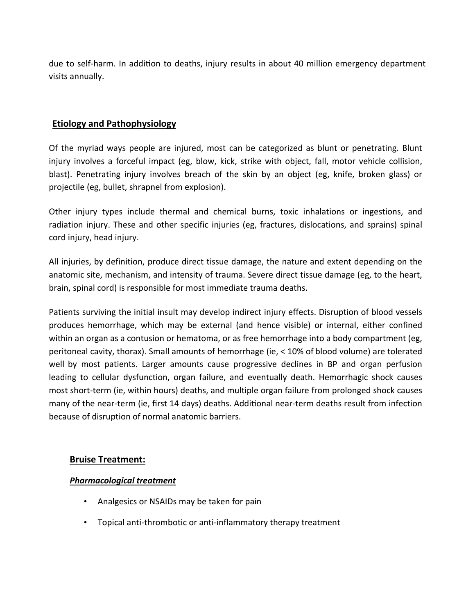due to self-harm. In addition to deaths, injury results in about 40 million emergency department visits annually.

## **Etiology and Pathophysiology**

Of the myriad ways people are injured, most can be categorized as blunt or penetrating. Blunt injury involves a forceful impact (eg, blow, kick, strike with object, fall, motor vehicle collision, blast). Penetrating injury involves breach of the skin by an object (eg, knife, broken glass) or projectile (eg, bullet, shrapnel from explosion).

Other injury types include thermal and chemical burns, toxic inhalations or ingestions, and radiation injury. These and other specific injuries (eg, fractures, dislocations, and sprains) spinal cord injury, head injury.

All injuries, by definition, produce direct tissue damage, the nature and extent depending on the anatomic site, mechanism, and intensity of trauma. Severe direct tissue damage (eg, to the heart, brain, spinal cord) is responsible for most immediate trauma deaths.

Patients surviving the initial insult may develop indirect injury effects. Disruption of blood vessels produces hemorrhage, which may be external (and hence visible) or internal, either confined within an organ as a contusion or hematoma, or as free hemorrhage into a body compartment (eg, peritoneal cavity, thorax). Small amounts of hemorrhage (ie, < 10% of blood volume) are tolerated well by most patients. Larger amounts cause progressive declines in BP and organ perfusion leading to cellular dysfunction, organ failure, and eventually death. Hemorrhagic shock causes most short-term (ie, within hours) deaths, and multiple organ failure from prolonged shock causes many of the near-term (ie, first 14 days) deaths. Additional near-term deaths result from infection because of disruption of normal anatomic barriers.

## **Bruise Treatment:**

#### *Pharmacological treatment*

- Analgesics or NSAIDs may be taken for pain
- Topical anti-thrombotic or anti-inflammatory therapy treatment